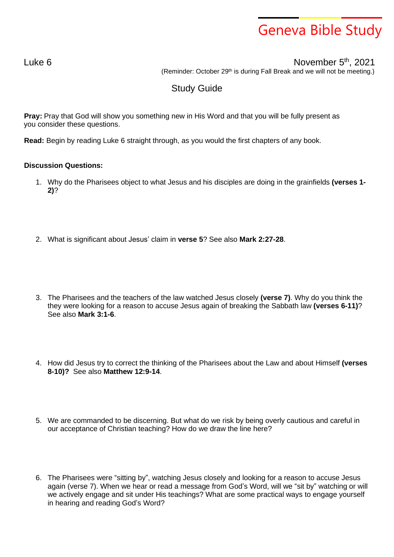## Geneva Bible Study

Luke 6  $\blacksquare$ 

(Reminder: October 29<sup>th</sup> is during Fall Break and we will not be meeting.)

## Study Guide

**Pray:** Pray that God will show you something new in His Word and that you will be fully present as you consider these questions.

**Read:** Begin by reading Luke 6 straight through, as you would the first chapters of any book.

## **Discussion Questions:**

- 1. Why do the Pharisees object to what Jesus and his disciples are doing in the grainfields **(verses 1- 2)**?
- 2. What is significant about Jesus' claim in **verse 5**? See also **Mark 2:27-28**.
- 3. The Pharisees and the teachers of the law watched Jesus closely **(verse 7)**. Why do you think the they were looking for a reason to accuse Jesus again of breaking the Sabbath law **(verses 6-11)**? See also **Mark 3:1-6**.
- 4. How did Jesus try to correct the thinking of the Pharisees about the Law and about Himself **(verses 8-10)?** See also **Matthew 12:9-14**.
- 5. We are commanded to be discerning. But what do we risk by being overly cautious and careful in our acceptance of Christian teaching? How do we draw the line here?
- 6. The Pharisees were "sitting by", watching Jesus closely and looking for a reason to accuse Jesus again (verse 7). When we hear or read a message from God's Word, will we "sit by" watching or will we actively engage and sit under His teachings? What are some practical ways to engage yourself in hearing and reading God's Word?